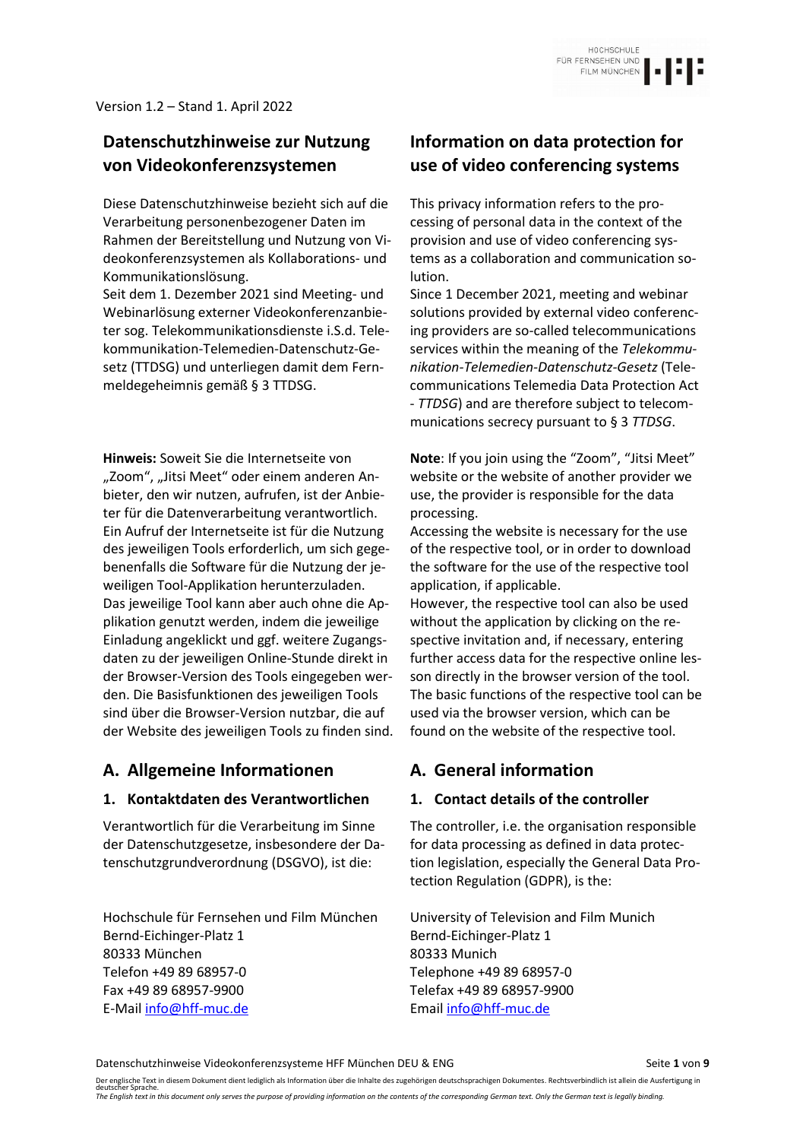# **Datenschutzhinweise zur Nutzung von Videokonferenzsystemen**

Diese Datenschutzhinweise bezieht sich auf die Verarbeitung personenbezogener Daten im Rahmen der Bereitstellung und Nutzung von Videokonferenzsystemen als Kollaborations- und Kommunikationslösung.

Seit dem 1. Dezember 2021 sind Meeting- und Webinarlösung externer Videokonferenzanbieter sog. Telekommunikationsdienste i.S.d. Telekommunikation-Telemedien-Datenschutz-Gesetz (TTDSG) und unterliegen damit dem Fernmeldegeheimnis gemäß § 3 TTDSG.

**Hinweis:** Soweit Sie die Internetseite von "Zoom", "Jitsi Meet" oder einem anderen Anbieter, den wir nutzen, aufrufen, ist der Anbieter für die Datenverarbeitung verantwortlich. Ein Aufruf der Internetseite ist für die Nutzung des jeweiligen Tools erforderlich, um sich gegebenenfalls die Software für die Nutzung der jeweiligen Tool-Applikation herunterzuladen. Das jeweilige Tool kann aber auch ohne die Applikation genutzt werden, indem die jeweilige Einladung angeklickt und ggf. weitere Zugangsdaten zu der jeweiligen Online-Stunde direkt in der Browser-Version des Tools eingegeben werden. Die Basisfunktionen des jeweiligen Tools sind über die Browser-Version nutzbar, die auf der Website des jeweiligen Tools zu finden sind.

## **A. Allgemeine Informationen A. General information**

### **1. Kontaktdaten des Verantwortlichen 1. Contact details of the controller**

Verantwortlich für die Verarbeitung im Sinne der Datenschutzgesetze, insbesondere der Datenschutzgrundverordnung (DSGVO), ist die:

Hochschule für Fernsehen und Film München Bernd-Eichinger-Platz 1 80333 München Telefon +49 89 68957-0 Fax +49 89 68957-9900 E-Mail [info@hff-muc.de](mailto:info@hff-muc.de)

# **Information on data protection for use of video conferencing systems**

This privacy information refers to the processing of personal data in the context of the provision and use of video conferencing systems as a collaboration and communication solution.

Since 1 December 2021, meeting and webinar solutions provided by external video conferencing providers are so-called telecommunications services within the meaning of the *Telekommunikation-Telemedien-Datenschutz-Gesetz* (Telecommunications Telemedia Data Protection Act - *TTDSG*) and are therefore subject to telecommunications secrecy pursuant to § 3 *TTDSG*.

**Note**: If you join using the "Zoom", "Jitsi Meet" website or the website of another provider we use, the provider is responsible for the data processing.

Accessing the website is necessary for the use of the respective tool, or in order to download the software for the use of the respective tool application, if applicable.

However, the respective tool can also be used without the application by clicking on the respective invitation and, if necessary, entering further access data for the respective online lesson directly in the browser version of the tool. The basic functions of the respective tool can be used via the browser version, which can be found on the website of the respective tool.

The controller, i.e. the organisation responsible for data processing as defined in data protection legislation, especially the General Data Protection Regulation (GDPR), is the:

University of Television and Film Munich Bernd-Eichinger-Platz 1 80333 Munich Telephone +49 89 68957-0 Telefax +49 89 68957-9900 Email [info@hff-muc.de](mailto:info@hff-muc.de)

Datenschutzhinweise Videokonferenzsysteme HFF München DEU & ENG Seite 1 von 9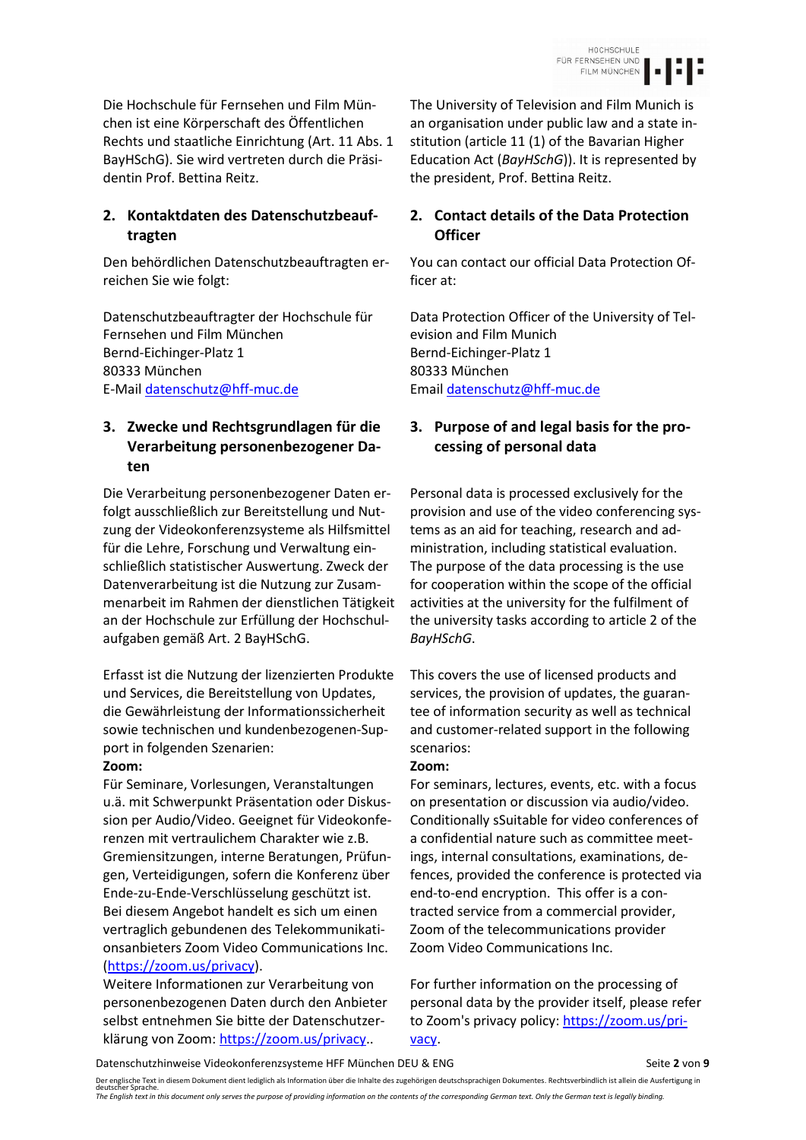Die Hochschule für Fernsehen und Film München ist eine Körperschaft des Öffentlichen Rechts und staatliche Einrichtung (Art. 11 Abs. 1 BayHSchG). Sie wird vertreten durch die Präsidentin Prof. Bettina Reitz.

## **2. Kontaktdaten des Datenschutzbeauftragten**

Den behördlichen Datenschutzbeauftragten erreichen Sie wie folgt:

Datenschutzbeauftragter der Hochschule für Fernsehen und Film München Bernd-Eichinger-Platz 1 Bernd-Eichinger-Platz 1 80333 München 80333 München E-Mail [datenschutz@hff-muc.de](mailto:datenschutz@hff-muc.de) Email [datenschutz@hff-muc.de](mailto:datenschutz@hff-muc.de)

## **3. Zwecke und Rechtsgrundlagen für die Verarbeitung personenbezogener Daten**

Die Verarbeitung personenbezogener Daten erfolgt ausschließlich zur Bereitstellung und Nutzung der Videokonferenzsysteme als Hilfsmittel für die Lehre, Forschung und Verwaltung einschließlich statistischer Auswertung. Zweck der Datenverarbeitung ist die Nutzung zur Zusammenarbeit im Rahmen der dienstlichen Tätigkeit an der Hochschule zur Erfüllung der Hochschulaufgaben gemäß Art. 2 BayHSchG.

Erfasst ist die Nutzung der lizenzierten Produkte und Services, die Bereitstellung von Updates, die Gewährleistung der Informationssicherheit sowie technischen und kundenbezogenen-Support in folgenden Szenarien:

### **Zoom: Zoom:**

Für Seminare, Vorlesungen, Veranstaltungen u.ä. mit Schwerpunkt Präsentation oder Diskussion per Audio/Video. Geeignet für Videokonferenzen mit vertraulichem Charakter wie z.B. Gremiensitzungen, interne Beratungen, Prüfungen, Verteidigungen, sofern die Konferenz über Ende-zu-Ende-Verschlüsselung geschützt ist.  Bei diesem Angebot handelt es sich um einen vertraglich gebundenen des Telekommunikationsanbieters Zoom Video Communications Inc. [\(https://zoom.us/privacy\)](https://zoom.us/privacy).

Weitere Informationen zur Verarbeitung von personenbezogenen Daten durch den Anbieter selbst entnehmen Sie bitte der Datenschutzerklärung von Zoom: [https://zoom.us/privacy.](https://zoom.us/privacy).

The University of Television and Film Munich is an organisation under public law and a state institution (article 11 (1) of the Bavarian Higher Education Act (*BayHSchG*)). It is represented by the president, Prof. Bettina Reitz.

## **2. Contact details of the Data Protection Officer**

You can contact our official Data Protection Officer at:

Data Protection Officer of the University of Television and Film Munich

## **3. Purpose of and legal basis for the processing of personal data**

Personal data is processed exclusively for the provision and use of the video conferencing systems as an aid for teaching, research and administration, including statistical evaluation. The purpose of the data processing is the use for cooperation within the scope of the official activities at the university for the fulfilment of the university tasks according to article 2 of the *BayHSchG*.

This covers the use of licensed products and services, the provision of updates, the guarantee of information security as well as technical and customer-related support in the following scenarios:

For seminars, lectures, events, etc. with a focus on presentation or discussion via audio/video. Conditionally sSuitable for video conferences of a confidential nature such as committee meetings, internal consultations, examinations, defences, provided the conference is protected via end-to-end encryption.  This offer is a contracted service from a commercial provider, Zoom of the telecommunications provider Zoom Video Communications Inc.

For further information on the processing of personal data by the provider itself, please refer to Zoom's privacy policy: [https://zoom.us/pri](https://zoom.us/privacy)[vacy.](https://zoom.us/privacy)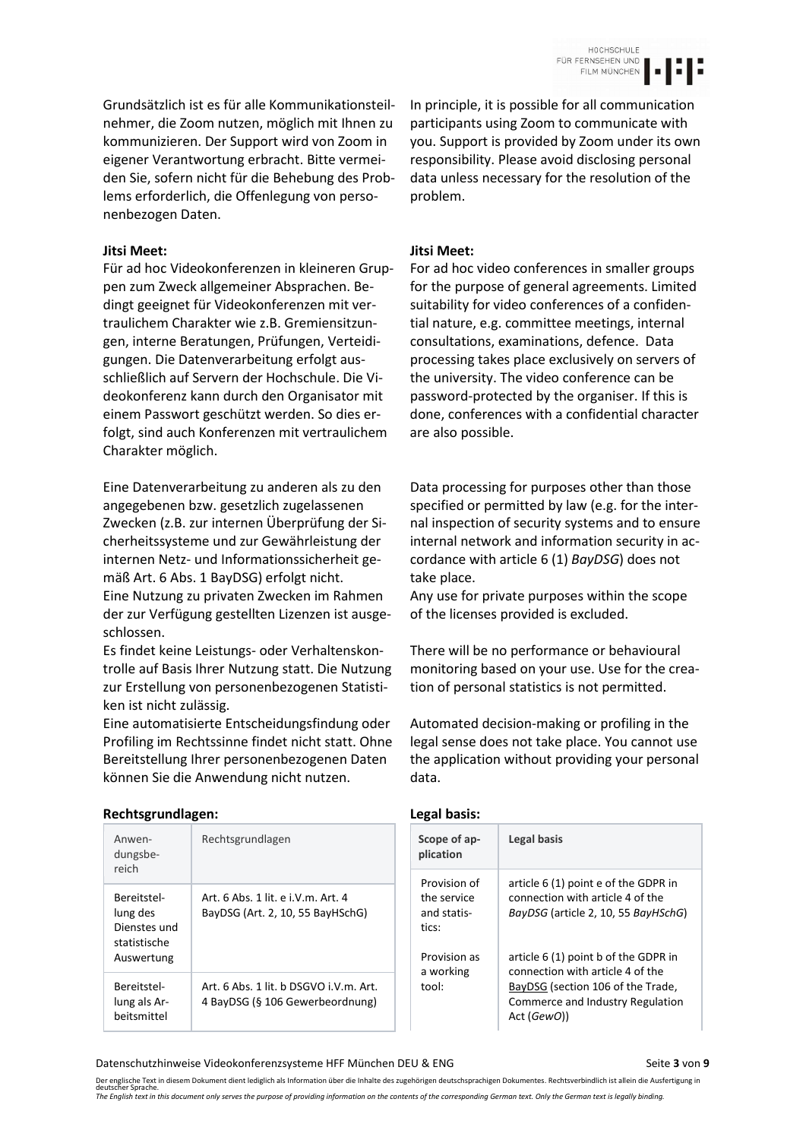Grundsätzlich ist es für alle Kommunikationsteilnehmer, die Zoom nutzen, möglich mit Ihnen zu kommunizieren. Der Support wird von Zoom in eigener Verantwortung erbracht. Bitte vermeiden Sie, sofern nicht für die Behebung des Problems erforderlich, die Offenlegung von personenbezogen Daten.

### **Jitsi Meet: Jitsi Meet:**

Für ad hoc Videokonferenzen in kleineren Gruppen zum Zweck allgemeiner Absprachen. Bedingt geeignet für Videokonferenzen mit vertraulichem Charakter wie z.B. Gremiensitzungen, interne Beratungen, Prüfungen, Verteidigungen. Die Datenverarbeitung erfolgt ausschließlich auf Servern der Hochschule. Die Videokonferenz kann durch den Organisator mit einem Passwort geschützt werden. So dies erfolgt, sind auch Konferenzen mit vertraulichem Charakter möglich.

Eine Datenverarbeitung zu anderen als zu den angegebenen bzw. gesetzlich zugelassenen Zwecken (z.B. zur internen Überprüfung der Sicherheitssysteme und zur Gewährleistung der internen Netz- und Informationssicherheit gemäß Art. 6 Abs. 1 BayDSG) erfolgt nicht. Eine Nutzung zu privaten Zwecken im Rahmen der zur Verfügung gestellten Lizenzen ist ausgeschlossen.

Es findet keine Leistungs- oder Verhaltenskontrolle auf Basis Ihrer Nutzung statt. Die Nutzung zur Erstellung von personenbezogenen Statistiken ist nicht zulässig.

Eine automatisierte Entscheidungsfindung oder Profiling im Rechtssinne findet nicht statt. Ohne Bereitstellung Ihrer personenbezogenen Daten können Sie die Anwendung nicht nutzen.

In principle, it is possible for all communication participants using Zoom to communicate with you. Support is provided by Zoom under its own responsibility. Please avoid disclosing personal data unless necessary for the resolution of the problem.

For ad hoc video conferences in smaller groups for the purpose of general agreements. Limited suitability for video conferences of a confidential nature, e.g. committee meetings, internal consultations, examinations, defence.  Data processing takes place exclusively on servers of the university. The video conference can be password-protected by the organiser. If this is done, conferences with a confidential character are also possible.

Data processing for purposes other than those specified or permitted by law (e.g. for the internal inspection of security systems and to ensure internal network and information security in accordance with article 6 (1) *BayDSG*) does not take place.

Any use for private purposes within the scope of the licenses provided is excluded.

There will be no performance or behavioural monitoring based on your use. Use for the creation of personal statistics is not permitted.

Automated decision-making or profiling in the legal sense does not take place. You cannot use the application without providing your personal data.

| Rechtsgrundlagen:                                       |                                                                           | Legal basis:                        |                                                                                      |  |
|---------------------------------------------------------|---------------------------------------------------------------------------|-------------------------------------|--------------------------------------------------------------------------------------|--|
| Anwen-<br>dungsbe-<br>reich                             | Rechtsgrundlagen                                                          | Scope of ap-<br>plication           | Legal basis                                                                          |  |
|                                                         |                                                                           | Provision of                        | article 6 (1) point e of the GDPR in                                                 |  |
| Bereitstel-<br>lung des<br>Dienstes und<br>statistische | Art. 6 Abs. 1 lit. e i.V.m. Art. 4<br>BayDSG (Art. 2, 10, 55 BayHSchG)    | the service<br>and statis-<br>tics: | connection with article 4 of the<br>BayDSG (article 2, 10, 55 BayHSchG)              |  |
| Auswertung                                              |                                                                           | Provision as<br>a working           | article 6 (1) point b of the GDPR in<br>connection with article 4 of the             |  |
| Bereitstel-<br>lung als Ar-<br>beitsmittel              | Art. 6 Abs. 1 lit. b DSGVO i.V.m. Art.<br>4 BayDSG (§ 106 Gewerbeordnung) | tool:                               | BayDSG (section 106 of the Trade,<br>Commerce and Industry Regulation<br>Act (GewO)) |  |

Datenschutzhinweise Videokonferenzsysteme HFF München DEU & ENG Seite **3** von 9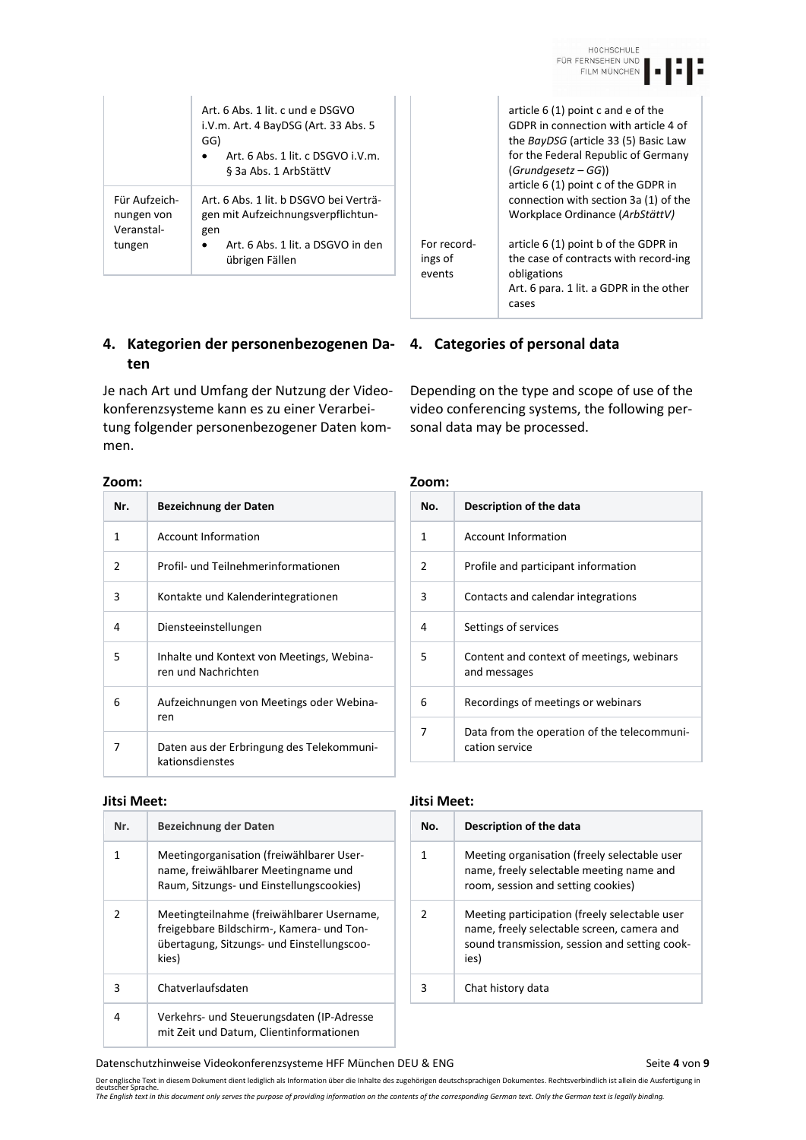| $\mathbf{r}$ |  |
|--------------|--|
|              |  |

article 6 (1) point c and e of the GDPR in connection with article 4 of the *BayDSG* (article 33 (5) Basic Law for the Federal Republic of Germany

article 6 (1) point c of the GDPR in connection with section 3a (1) of the Workplace Ordinance (*ArbStättV)*

article 6 (1) point b of the GDPR in the case of contracts with record-ing

Art. 6 para. 1 lit. a GDPR in the other

(*Grundgesetz – GG*))

|                                                     | Art. 6 Abs. 1 lit. c und e DSGVO<br>i.V.m. Art. 4 BayDSG (Art. 33 Abs. 5<br>GG)<br>Art. $6$ Abs. 1 lit. $c$ DSGVO i.V.m.<br>§ 3a Abs. 1 ArbStättV |
|-----------------------------------------------------|---------------------------------------------------------------------------------------------------------------------------------------------------|
| Für Aufzeich-<br>nungen von<br>Veranstal-<br>tungen | Art. 6 Abs. 1 lit. b DSGVO bei Verträ-<br>gen mit Aufzeichnungsverpflichtun-<br>gen<br>Art. 6 Abs. 1 lit. a DSGVO in den<br>übrigen Fällen        |

## **4. Kategorien der personenbezogenen Da-4. Categories of personal data ten**

Je nach Art und Umfang der Nutzung der Videokonferenzsysteme kann es zu einer Verarbeitung folgender personenbezogener Daten kommen.

| Zoom:          |                                                                  | Zoom:          |  |
|----------------|------------------------------------------------------------------|----------------|--|
| Nr.            | Bezeichnung der Daten                                            | No.            |  |
| 1              | <b>Account Information</b>                                       | 1              |  |
| $\mathfrak{p}$ | Profil- und Teilnehmerinformationen                              | $\mathfrak{p}$ |  |
| 3              | Kontakte und Kalenderintegrationen                               | 3              |  |
| 4              | Diensteeinstellungen                                             | 4              |  |
| 5              | Inhalte und Kontext von Meetings, Webina-<br>ren und Nachrichten | 5              |  |
| 6              | Aufzeichnungen von Meetings oder Webina-<br>ren                  | 6              |  |
| 7              | Daten aus der Erbringung des Telekommuni-<br>kationsdienstes     | 7              |  |

| Nr. | Bezeichnung der Daten                                                                                                                         |
|-----|-----------------------------------------------------------------------------------------------------------------------------------------------|
| 1   | Meetingorganisation (freiwählbarer User-<br>name, freiwählbarer Meetingname und<br>Raum, Sitzungs- und Einstellungscookies)                   |
|     | Meetingteilnahme (freiwählbarer Username,<br>freigebbare Bildschirm-, Kamera- und Ton-<br>übertagung, Sitzungs- und Einstellungscoo-<br>kies) |
| ੨   | Chatverlaufsdaten                                                                                                                             |
| 4   | Verkehrs- und Steuerungsdaten (IP-Adresse<br>mit Zeit und Datum, Clientinformationen                                                          |

cases

obligations

Depending on the type and scope of use of the video conferencing systems, the following personal data may be processed.

For recordings of events

| No. | Description of the data                                       |
|-----|---------------------------------------------------------------|
| 1   | <b>Account Information</b>                                    |
| 2   | Profile and participant information                           |
| 3   | Contacts and calendar integrations                            |
| 4   | Settings of services                                          |
| 5   | Content and context of meetings, webinars<br>and messages     |
| 6   | Recordings of meetings or webinars                            |
| 7   | Data from the operation of the telecommuni-<br>cation service |

### **Jitsi Meet: Jitsi Meet:**

| No. | Description of the data                                                                                                                              |
|-----|------------------------------------------------------------------------------------------------------------------------------------------------------|
|     | Meeting organisation (freely selectable user<br>name, freely selectable meeting name and<br>room, session and setting cookies)                       |
| 2   | Meeting participation (freely selectable user<br>name, freely selectable screen, camera and<br>sound transmission, session and setting cook-<br>ies) |
|     | Chat history data                                                                                                                                    |

Datenschutzhinweise Videokonferenzsysteme HFF München DEU & ENG Seite 4 von 9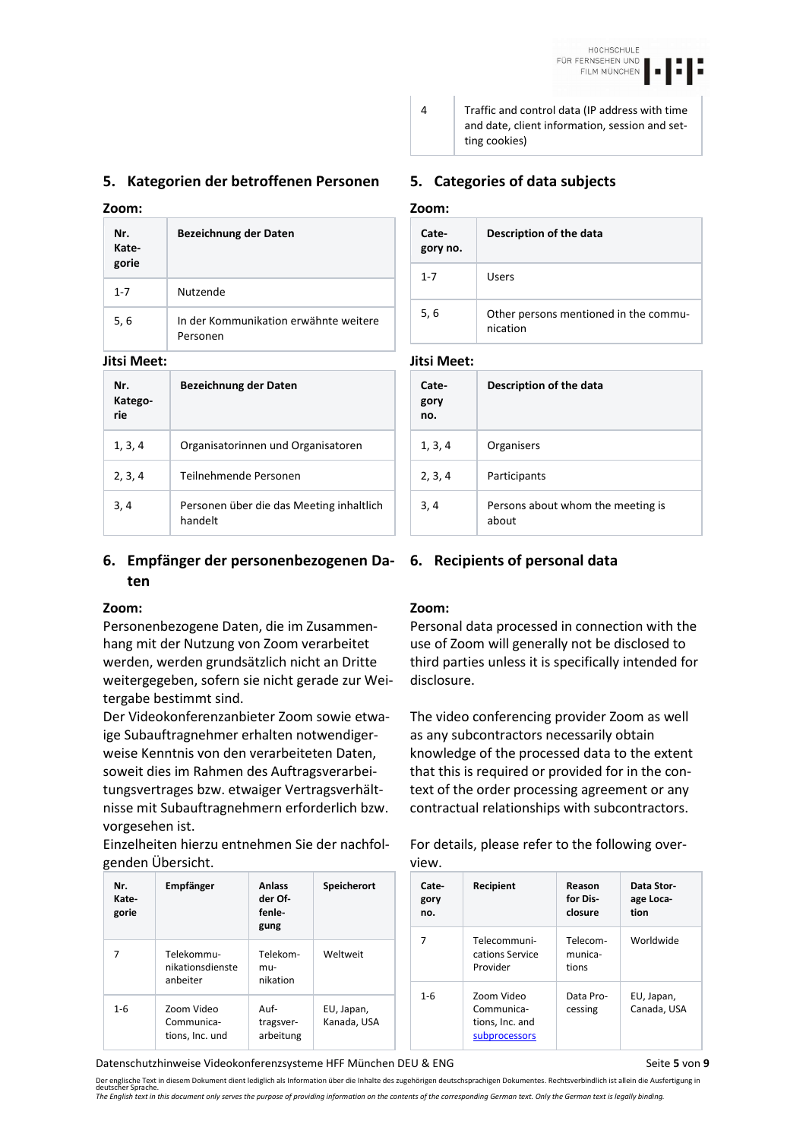### **5. Kategorien der betroffenen Personen 5. Categories of data subjects**

| Nr.<br>Kate-<br>gorie | Bezeichnung der Daten                             |
|-----------------------|---------------------------------------------------|
| $1 - 7$               | Nutzende                                          |
| 5, 6                  | In der Kommunikation erwähnte weitere<br>Personen |

| Nr.<br>Katego-<br>rie | Bezeichnung der Daten                               |
|-----------------------|-----------------------------------------------------|
| 1, 3, 4               | Organisatorinnen und Organisatoren                  |
| 2, 3, 4               | Teilnehmende Personen                               |
| 3, 4                  | Personen über die das Meeting inhaltlich<br>handelt |

### **6. Empfänger der personenbezogenen Da-6. Recipients of personal data ten**

Personenbezogene Daten, die im Zusammenhang mit der Nutzung von Zoom verarbeitet werden, werden grundsätzlich nicht an Dritte weitergegeben, sofern sie nicht gerade zur Weitergabe bestimmt sind.

Der Videokonferenzanbieter Zoom sowie etwaige Subauftragnehmer erhalten notwendigerweise Kenntnis von den verarbeiteten Daten, soweit dies im Rahmen des Auftragsverarbeitungsvertrages bzw. etwaiger Vertragsverhältnisse mit Subauftragnehmern erforderlich bzw. vorgesehen ist.

Einzelheiten hierzu entnehmen Sie der nachfolgenden Übersicht.

| Nr.<br>Kate-<br>gorie | Empfänger                                   | <b>Anlass</b><br>der Of-<br>fenle-<br>gung | <b>Speicherort</b>        |  |
|-----------------------|---------------------------------------------|--------------------------------------------|---------------------------|--|
|                       | Telekommu-<br>nikationsdienste<br>anbeiter  | Telekom-<br>mu-<br>nikation                | Weltweit                  |  |
| $1 - 6$               | Zoom Video<br>Communica-<br>tions, Inc. und | Auf-<br>tragsver-<br>arbeitung             | EU, Japan,<br>Kanada, USA |  |

Datenschutzhinweise Videokonferenzsysteme HFF München DEU & ENG Seite **5** von 9

ting cookies)

## **Zoom: Zoom:**

| Cate-<br>gory no. | Description of the data                           |
|-------------------|---------------------------------------------------|
| $1 - 7$           | Users                                             |
| 5, 6              | Other persons mentioned in the commu-<br>nication |

4 Traffic and control data (IP address with time and date, client information, session and set-

### **Jitsi Meet: Jitsi Meet:**

| Cate-<br>gory<br>no. | Description of the data                    |
|----------------------|--------------------------------------------|
| 1, 3, 4              | Organisers                                 |
| 2, 3, 4              | Participants                               |
| 3, 4                 | Persons about whom the meeting is<br>about |

### **Zoom: Zoom:**

Personal data processed in connection with the use of Zoom will generally not be disclosed to third parties unless it is specifically intended for disclosure.

The video conferencing provider Zoom as well as any subcontractors necessarily obtain knowledge of the processed data to the extent that this is required or provided for in the context of the order processing agreement or any contractual relationships with subcontractors.

For details, please refer to the following overview.

| Cate-<br>gory<br>no. | Recipient                                                    | Reason<br>for Dis-<br>closure | Data Stor-<br>age Loca-<br>tion |
|----------------------|--------------------------------------------------------------|-------------------------------|---------------------------------|
|                      | Telecommuni-<br>cations Service<br>Provider                  | Telecom-<br>munica-<br>tions  | Worldwide                       |
| $1 - 6$              | Zoom Video<br>Communica-<br>tions, Inc. and<br>subprocessors | Data Pro-<br>cessing          | EU, Japan,<br>Canada, USA       |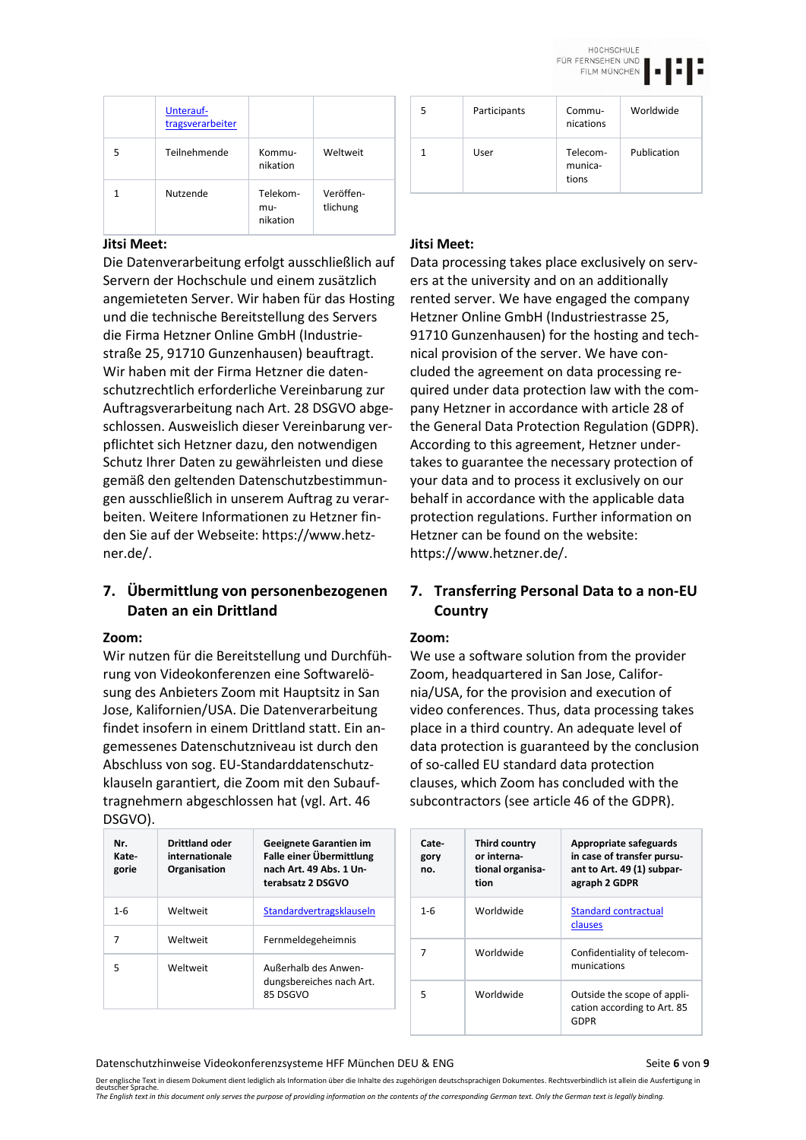HOCHSCHULE FÜR FERNSEHEN UND

FILM MÜNCHEN

|   | Unterauf-<br>tragsverarbeiter |                             |                       |
|---|-------------------------------|-----------------------------|-----------------------|
| 5 | Teilnehmende                  | Kommu-<br>nikation          | Weltweit              |
|   | Nutzende                      | Telekom-<br>mu-<br>nikation | Veröffen-<br>tlichung |

Die Datenverarbeitung erfolgt ausschließlich auf Servern der Hochschule und einem zusätzlich angemieteten Server. Wir haben für das Hosting und die technische Bereitstellung des Servers die Firma Hetzner Online GmbH (Industriestraße 25, 91710 Gunzenhausen) beauftragt. Wir haben mit der Firma Hetzner die datenschutzrechtlich erforderliche Vereinbarung zur Auftragsverarbeitung nach Art. 28 DSGVO abgeschlossen. Ausweislich dieser Vereinbarung verpflichtet sich Hetzner dazu, den notwendigen Schutz Ihrer Daten zu gewährleisten und diese gemäß den geltenden Datenschutzbestimmungen ausschließlich in unserem Auftrag zu verarbeiten. Weitere Informationen zu Hetzner finden Sie auf der Webseite: https://www.hetzner.de/.

## **7. Übermittlung von personenbezogenen Daten an ein Drittland**

### **Zoom: Zoom:**

Wir nutzen für die Bereitstellung und Durchführung von Videokonferenzen eine Softwarelösung des Anbieters Zoom mit Hauptsitz in San Jose, Kalifornien/USA. Die Datenverarbeitung findet insofern in einem Drittland statt. Ein angemessenes Datenschutzniveau ist durch den Abschluss von sog. EU-Standarddatenschutzklauseln garantiert, die Zoom mit den Subauftragnehmern abgeschlossen hat (vgl. Art. 46 DSGVO).

| Nr.<br>Kate-<br>gorie | <b>Drittland oder</b><br>internationale<br>Organisation | Geeignete Garantien im<br>Falle einer Übermittlung<br>nach Art. 49 Abs. 1 Un-<br>terabsatz 2 DSGVO |
|-----------------------|---------------------------------------------------------|----------------------------------------------------------------------------------------------------|
| $1 - 6$               | Weltweit                                                | Standardvertragsklauseln                                                                           |
| 7                     | Weltweit                                                | Fernmeldegeheimnis                                                                                 |
| 5                     | Weltweit                                                | Außerhalb des Anwen-<br>dungsbereiches nach Art.<br>85 DSGVO                                       |

| 5 | Participants | Commu-<br>nications          | Worldwide   |
|---|--------------|------------------------------|-------------|
|   | User         | Telecom-<br>munica-<br>tions | Publication |

### **Jitsi Meet: Jitsi Meet:**

Data processing takes place exclusively on servers at the university and on an additionally rented server. We have engaged the company Hetzner Online GmbH (Industriestrasse 25, 91710 Gunzenhausen) for the hosting and technical provision of the server. We have concluded the agreement on data processing required under data protection law with the company Hetzner in accordance with article 28 of the General Data Protection Regulation (GDPR). According to this agreement, Hetzner undertakes to guarantee the necessary protection of your data and to process it exclusively on our behalf in accordance with the applicable data protection regulations. Further information on Hetzner can be found on the website: https://www.hetzner.de/.

## **7. Transferring Personal Data to a non-EU Country**

We use a software solution from the provider Zoom, headquartered in San Jose, California/USA, for the provision and execution of video conferences. Thus, data processing takes place in a third country. An adequate level of data protection is guaranteed by the conclusion of so-called EU standard data protection clauses, which Zoom has concluded with the subcontractors (see article 46 of the GDPR).

| Cate-<br>gory<br>no. | Third country<br>or interna-<br>tional organisa-<br>tion | Appropriate safeguards<br>in case of transfer pursu-<br>ant to Art. 49 (1) subpar-<br>agraph 2 GDPR |
|----------------------|----------------------------------------------------------|-----------------------------------------------------------------------------------------------------|
| $1 - 6$              | Worldwide                                                | <b>Standard contractual</b><br>clauses                                                              |
|                      | Worldwide                                                | Confidentiality of telecom-<br>munications                                                          |
| 5                    | Worldwide                                                | Outside the scope of appli-<br>cation according to Art. 85<br>GDPR                                  |

### Datenschutzhinweise Videokonferenzsysteme HFF München DEU & ENG Seite 6 von 9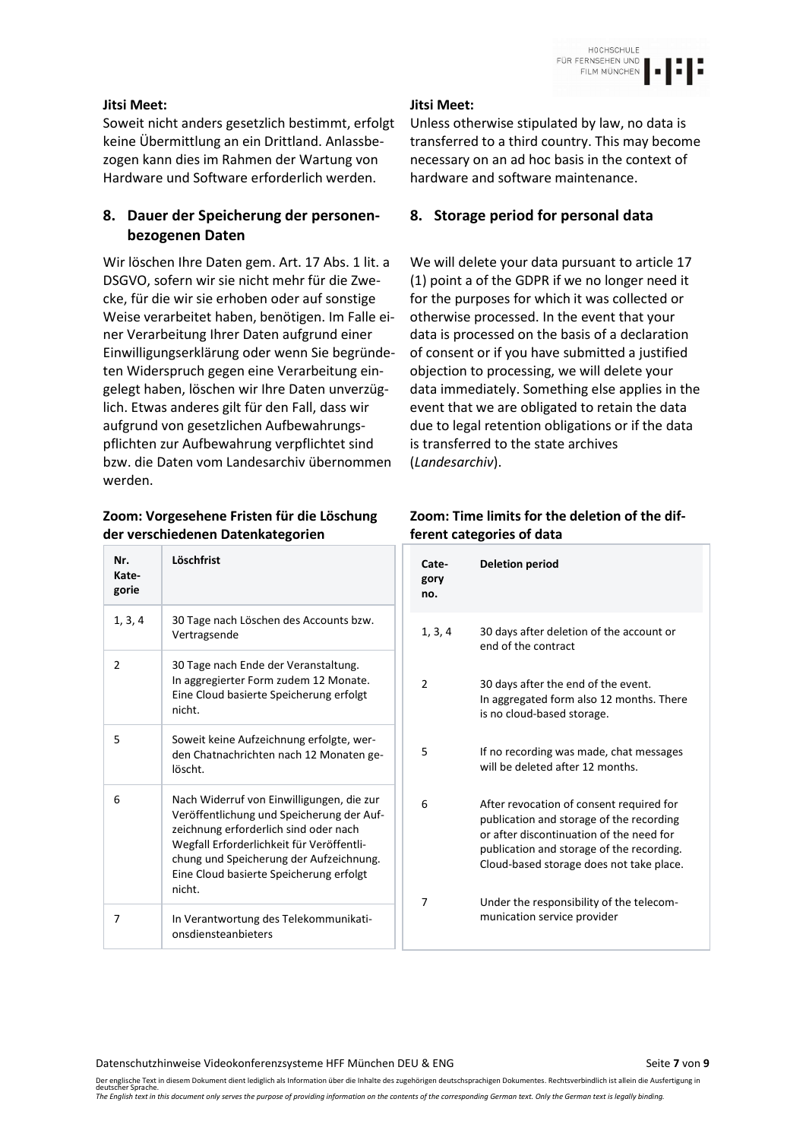### **Jitsi Meet: Jitsi Meet:**

Soweit nicht anders gesetzlich bestimmt, erfolgt keine Übermittlung an ein Drittland. Anlassbezogen kann dies im Rahmen der Wartung von Hardware und Software erforderlich werden.

## **8. Dauer der Speicherung der personenbezogenen Daten**

Wir löschen Ihre Daten gem. Art. 17 Abs. 1 lit. a DSGVO, sofern wir sie nicht mehr für die Zwecke, für die wir sie erhoben oder auf sonstige Weise verarbeitet haben, benötigen. Im Falle einer Verarbeitung Ihrer Daten aufgrund einer Einwilligungserklärung oder wenn Sie begründeten Widerspruch gegen eine Verarbeitung eingelegt haben, löschen wir Ihre Daten unverzüglich. Etwas anderes gilt für den Fall, dass wir aufgrund von gesetzlichen Aufbewahrungspflichten zur Aufbewahrung verpflichtet sind bzw. die Daten vom Landesarchiv übernommen werden.

### **Zoom: Vorgesehene Fristen für die Löschung der verschiedenen Datenkategorien**

| Nr.<br>Kate-<br>gorie | Löschfrist                                                                                                                                                                                                                                                                   |
|-----------------------|------------------------------------------------------------------------------------------------------------------------------------------------------------------------------------------------------------------------------------------------------------------------------|
| 1, 3, 4               | 30 Tage nach Löschen des Accounts bzw.<br>Vertragsende                                                                                                                                                                                                                       |
| 2                     | 30 Tage nach Ende der Veranstaltung.<br>In aggregierter Form zudem 12 Monate.<br>Eine Cloud basierte Speicherung erfolgt<br>nicht.                                                                                                                                           |
| 5                     | Soweit keine Aufzeichnung erfolgte, wer-<br>den Chatnachrichten nach 12 Monaten ge-<br>löscht.                                                                                                                                                                               |
| 6                     | Nach Widerruf von Einwilligungen, die zur<br>Veröffentlichung und Speicherung der Auf-<br>zeichnung erforderlich sind oder nach<br>Wegfall Erforderlichkeit für Veröffentli-<br>chung und Speicherung der Aufzeichnung.<br>Eine Cloud basierte Speicherung erfolgt<br>nicht. |
| 7                     | In Verantwortung des Telekommunikati-<br>onsdiensteanbieters                                                                                                                                                                                                                 |

Unless otherwise stipulated by law, no data is transferred to a third country. This may become necessary on an ad hoc basis in the context of hardware and software maintenance.

## **8. Storage period for personal data**

We will delete your data pursuant to article 17 (1) point a of the GDPR if we no longer need it for the purposes for which it was collected or otherwise processed. In the event that your data is processed on the basis of a declaration of consent or if you have submitted a justified objection to processing, we will delete your data immediately. Something else applies in the event that we are obligated to retain the data due to legal retention obligations or if the data is transferred to the state archives (*Landesarchiv*).

### **Zoom: Time limits for the deletion of the different categories of data**

| Cate-<br>gory<br>no. | <b>Deletion period</b>                                                                                                                                                                                                    |
|----------------------|---------------------------------------------------------------------------------------------------------------------------------------------------------------------------------------------------------------------------|
| 1, 3, 4              | 30 days after deletion of the account or<br>end of the contract                                                                                                                                                           |
| 2                    | 30 days after the end of the event.<br>In aggregated form also 12 months. There<br>is no cloud-based storage.                                                                                                             |
| 5                    | If no recording was made, chat messages<br>will be deleted after 12 months.                                                                                                                                               |
| 6                    | After revocation of consent required for<br>publication and storage of the recording<br>or after discontinuation of the need for<br>publication and storage of the recording.<br>Cloud-based storage does not take place. |
| 7                    | Under the responsibility of the telecom-<br>munication service provider                                                                                                                                                   |

Datenschutzhinweise Videokonferenzsysteme HFF München DEU & ENG Seite 7 von 9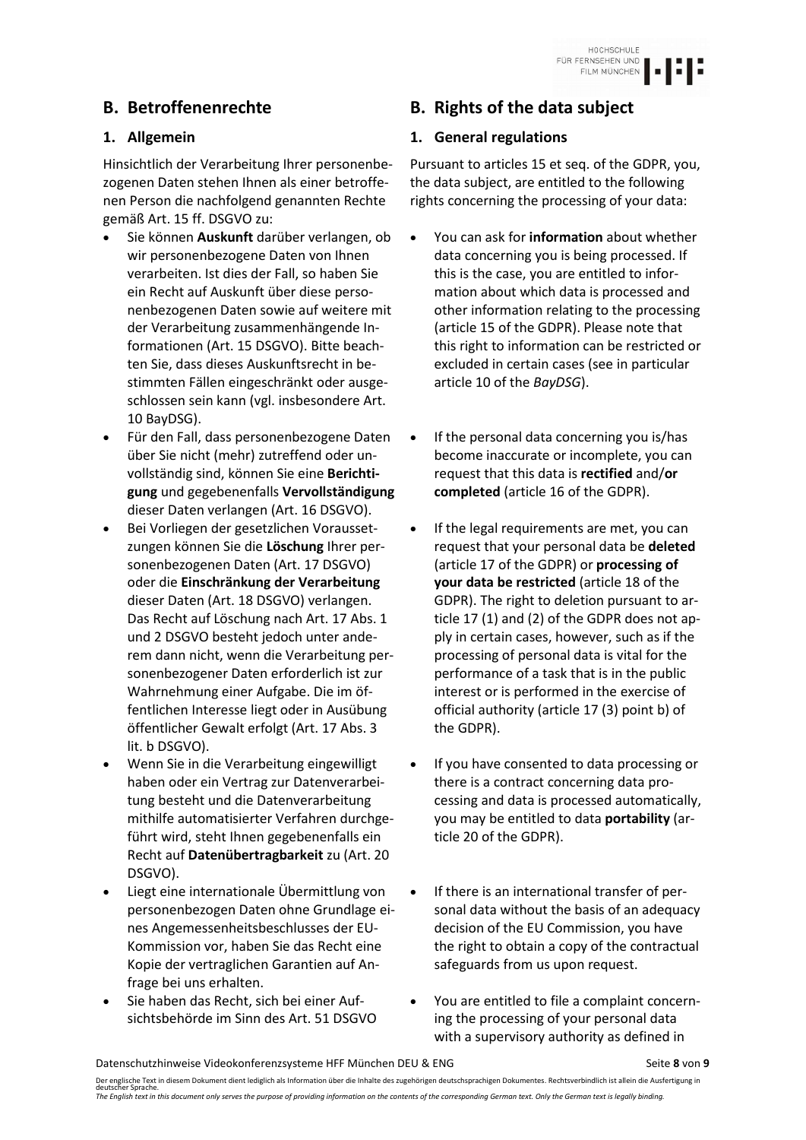Hinsichtlich der Verarbeitung Ihrer personenbezogenen Daten stehen Ihnen als einer betroffenen Person die nachfolgend genannten Rechte gemäß Art. 15 ff. DSGVO zu:

- Sie können **Auskunft** darüber verlangen, ob wir personenbezogene Daten von Ihnen verarbeiten. Ist dies der Fall, so haben Sie ein Recht auf Auskunft über diese personenbezogenen Daten sowie auf weitere mit der Verarbeitung zusammenhängende Informationen (Art. 15 DSGVO). Bitte beachten Sie, dass dieses Auskunftsrecht in bestimmten Fällen eingeschränkt oder ausgeschlossen sein kann (vgl. insbesondere Art. 10 BayDSG).
- Für den Fall, dass personenbezogene Daten über Sie nicht (mehr) zutreffend oder unvollständig sind, können Sie eine **Berichtigung** und gegebenenfalls **Vervollständigung** dieser Daten verlangen (Art. 16 DSGVO).
- Bei Vorliegen der gesetzlichen Voraussetzungen können Sie die **Löschung** Ihrer personenbezogenen Daten (Art. 17 DSGVO) oder die **Einschränkung der Verarbeitung** dieser Daten (Art. 18 DSGVO) verlangen. Das Recht auf Löschung nach Art. 17 Abs. 1 und 2 DSGVO besteht jedoch unter anderem dann nicht, wenn die Verarbeitung personenbezogener Daten erforderlich ist zur Wahrnehmung einer Aufgabe. Die im öffentlichen Interesse liegt oder in Ausübung öffentlicher Gewalt erfolgt (Art. 17 Abs. 3 lit. b DSGVO).
- Wenn Sie in die Verarbeitung eingewilligt haben oder ein Vertrag zur Datenverarbeitung besteht und die Datenverarbeitung mithilfe automatisierter Verfahren durchgeführt wird, steht Ihnen gegebenenfalls ein Recht auf **Datenübertragbarkeit** zu (Art. 20 DSGVO).
- Liegt eine internationale Übermittlung von personenbezogen Daten ohne Grundlage eines Angemessenheitsbeschlusses der EU-Kommission vor, haben Sie das Recht eine Kopie der vertraglichen Garantien auf Anfrage bei uns erhalten.
- Sie haben das Recht, sich bei einer Aufsichtsbehörde im Sinn des Art. 51 DSGVO

# **B. Betroffenenrechte B. Rights of the data subject**

## **1. Allgemein 1. General regulations**

Pursuant to articles 15 et seq. of the GDPR, you, the data subject, are entitled to the following rights concerning the processing of your data:

- You can ask for **information** about whether data concerning you is being processed. If this is the case, you are entitled to information about which data is processed and other information relating to the processing (article 15 of the GDPR). Please note that this right to information can be restricted or excluded in certain cases (see in particular article 10 of the *BayDSG*).
- If the personal data concerning you is/has become inaccurate or incomplete, you can request that this data is **rectified** and/**or completed** (article 16 of the GDPR).
- If the legal requirements are met, you can request that your personal data be **deleted** (article 17 of the GDPR) or **processing of your data be restricted** (article 18 of the GDPR). The right to deletion pursuant to article 17 (1) and (2) of the GDPR does not apply in certain cases, however, such as if the processing of personal data is vital for the performance of a task that is in the public interest or is performed in the exercise of official authority (article 17 (3) point b) of the GDPR).
- If you have consented to data processing or there is a contract concerning data processing and data is processed automatically, you may be entitled to data **portability** (article 20 of the GDPR).
- If there is an international transfer of personal data without the basis of an adequacy decision of the EU Commission, you have the right to obtain a copy of the contractual safeguards from us upon request.
- You are entitled to file a complaint concerning the processing of your personal data with a supervisory authority as defined in